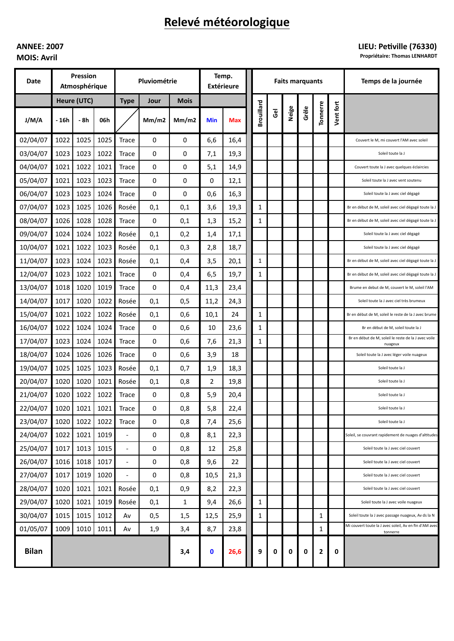# Relevé météorologique

## **ANNEE: 2007 MOIS: Avril**

## LIEU: Petiville (76330)

Propriétaire: Thomas LENHARDT

| Date         | Pression<br>Atmosphérique |      |      | Pluviométrie             |                     |              | Temp.<br><b>Extérieure</b> |      | <b>Faits marquants</b> |                |       |       |              |           | Temps de la journée                                                |
|--------------|---------------------------|------|------|--------------------------|---------------------|--------------|----------------------------|------|------------------------|----------------|-------|-------|--------------|-----------|--------------------------------------------------------------------|
|              | Heure (UTC)               |      |      | <b>Type</b>              | <b>Mois</b><br>Jour |              |                            |      |                        |                |       |       |              |           |                                                                    |
| J/M/A        | - 16h                     | - 8h | 06h  |                          | Mm/m2               | Mm/m2        | Min                        | Max  | <b>Brouillard</b>      | $\overline{6}$ | Neige | Grêle | Tonnerre     | Vent fort |                                                                    |
| 02/04/07     | 1022                      | 1025 | 1025 | Trace                    | 0                   | 0            | 6,6                        | 16,4 |                        |                |       |       |              |           | Couvert le M, mi couvert l'AM avec soleil                          |
| 03/04/07     | 1023                      | 1023 | 1022 | Trace                    | 0                   | 0            | 7,1                        | 19,3 |                        |                |       |       |              |           | Soleil toute la J                                                  |
| 04/04/07     | 1021                      | 1022 | 1021 | Trace                    | 0                   | 0            | 5,1                        | 14,9 |                        |                |       |       |              |           | Couvert toute la J avec quelques éclaircies                        |
| 05/04/07     | 1021                      | 1023 | 1023 | <b>Trace</b>             | 0                   | 0            | 0                          | 12,1 |                        |                |       |       |              |           | Soleil toute la J avec vent soutenu                                |
| 06/04/07     | 1023                      | 1023 | 1024 | Trace                    | 0                   | 0            | 0,6                        | 16,3 |                        |                |       |       |              |           | Soleil toute la J avec ciel dégagé                                 |
| 07/04/07     | 1023                      | 1025 | 1026 | Rosée                    | 0,1                 | 0,1          | 3,6                        | 19,3 | 1                      |                |       |       |              |           | Br en début de M, soleil avec ciel dégagé toute la J               |
| 08/04/07     | 1026                      | 1028 | 1028 | Trace                    | 0                   | 0,1          | 1,3                        | 15,2 | 1                      |                |       |       |              |           | Br en début de M, soleil avec ciel dégagé toute la J               |
| 09/04/07     | 1024                      | 1024 | 1022 | Rosée                    | 0,1                 | 0,2          | 1,4                        | 17,1 |                        |                |       |       |              |           | Soleil toute la J avec ciel dégagé                                 |
| 10/04/07     | 1021                      | 1022 | 1023 | Rosée                    | 0,1                 | 0,3          | 2,8                        | 18,7 |                        |                |       |       |              |           | Soleil toute la J avec ciel dégagé                                 |
| 11/04/07     | 1023                      | 1024 | 1023 | Rosée                    | 0,1                 | 0,4          | 3,5                        | 20,1 | $\mathbf{1}$           |                |       |       |              |           | Br en début de M, soleil avec ciel dégagé toute la J               |
| 12/04/07     | 1023                      | 1022 | 1021 | Trace                    | 0                   | 0,4          | 6,5                        | 19,7 | 1                      |                |       |       |              |           | Br en début de M, soleil avec ciel dégagé toute la J               |
| 13/04/07     | 1018                      | 1020 | 1019 | Trace                    | 0                   | 0,4          | 11,3                       | 23,4 |                        |                |       |       |              |           | Brume en debut de M, couvert le M, soleil l'AM                     |
| 14/04/07     | 1017                      | 1020 | 1022 | Rosée                    | 0,1                 | 0,5          | 11,2                       | 24,3 |                        |                |       |       |              |           | Soleil toute la J avec ciel très brumeux                           |
| 15/04/07     | 1021                      | 1022 | 1022 | Rosée                    | 0,1                 | 0,6          | 10,1                       | 24   | 1                      |                |       |       |              |           | Br en début de M, soleil le reste de la J avec brume               |
| 16/04/07     | 1022                      | 1024 | 1024 | Trace                    | 0                   | 0,6          | 10                         | 23,6 | 1                      |                |       |       |              |           | Br en début de M, soleil toute la J                                |
| 17/04/07     | 1023                      | 1024 | 1024 | Trace                    | 0                   | 0,6          | 7,6                        | 21,3 | 1                      |                |       |       |              |           | Br en début de M, soleil le reste de la J avec voile<br>nuageux    |
| 18/04/07     | 1024                      | 1026 | 1026 | Trace                    | 0                   | 0,6          | 3,9                        | 18   |                        |                |       |       |              |           | Soleil toute la J avec léger voile nuageux                         |
| 19/04/07     | 1025                      | 1025 | 1023 | Rosée                    | 0,1                 | 0,7          | 1,9                        | 18,3 |                        |                |       |       |              |           | Soleil toute la J                                                  |
| 20/04/07     | 1020                      | 1020 | 1021 | Rosée                    | 0,1                 | 0,8          | 2                          | 19,8 |                        |                |       |       |              |           | Soleil toute la J                                                  |
| 21/04/07     | 1020                      | 1022 | 1022 | Trace                    | 0                   | 0,8          | 5,9                        | 20,4 |                        |                |       |       |              |           | Soleil toute la J                                                  |
| 22/04/07     | 1020                      | 1021 | 1021 | Trace                    | 0                   | 0,8          | 5,8                        | 22,4 |                        |                |       |       |              |           | Soleil toute la J                                                  |
| 23/04/07     | 1020                      | 1022 | 1022 | Trace                    | $\mathbf 0$         | 0,8          | 7,4                        | 25,6 |                        |                |       |       |              |           | Soleil toute la J                                                  |
| 24/04/07     | 1022                      | 1021 | 1019 | $\overline{\phantom{a}}$ | 0                   | 0,8          | 8,1                        | 22,3 |                        |                |       |       |              |           | Soleil, se couvrant rapidement de nuages d'altitudes               |
| 25/04/07     | 1017                      | 1013 | 1015 | $\overline{\phantom{a}}$ | 0                   | 0,8          | 12                         | 25,8 |                        |                |       |       |              |           | Soleil toute la J avec ciel couvert                                |
| 26/04/07     | 1016                      | 1018 | 1017 | $\overline{\phantom{a}}$ | 0                   | 0,8          | 9,6                        | 22   |                        |                |       |       |              |           | Soleil toute la J avec ciel couvert                                |
| 27/04/07     | 1017                      | 1019 | 1020 | $\overline{a}$           | 0                   | 0,8          | 10,5                       | 21,3 |                        |                |       |       |              |           | Soleil toute la J avec ciel couvert                                |
| 28/04/07     | 1020                      | 1021 | 1021 | Rosée                    | 0,1                 | 0,9          | 8,2                        | 22,3 |                        |                |       |       |              |           | Soleil toute la J avec ciel couvert                                |
| 29/04/07     | 1020                      | 1021 | 1019 | Rosée                    | 0,1                 | $\mathbf{1}$ | 9,4                        | 26,6 | $\mathbf{1}$           |                |       |       |              |           | Soleil toute la J avec voile nuageux                               |
| 30/04/07     | 1015                      | 1015 | 1012 | Av                       | 0,5                 | 1,5          | 12,5                       | 25,9 | $\mathbf{1}$           |                |       |       | $\mathbf{1}$ |           | Soleil toute la J avec passage nuageux, Av ds la N                 |
| 01/05/07     | 1009                      | 1010 | 1011 | Av                       | 1,9                 | 3,4          | 8,7                        | 23,8 |                        |                |       |       | 1            |           | Mi couvert toute la J avec soleil, Av en fin d'AM avec<br>tonnerre |
| <b>Bilan</b> |                           |      |      |                          |                     | 3,4          | $\mathbf 0$                | 26,6 | 9                      | 0              | 0     | 0     | $\mathbf{2}$ | 0         |                                                                    |